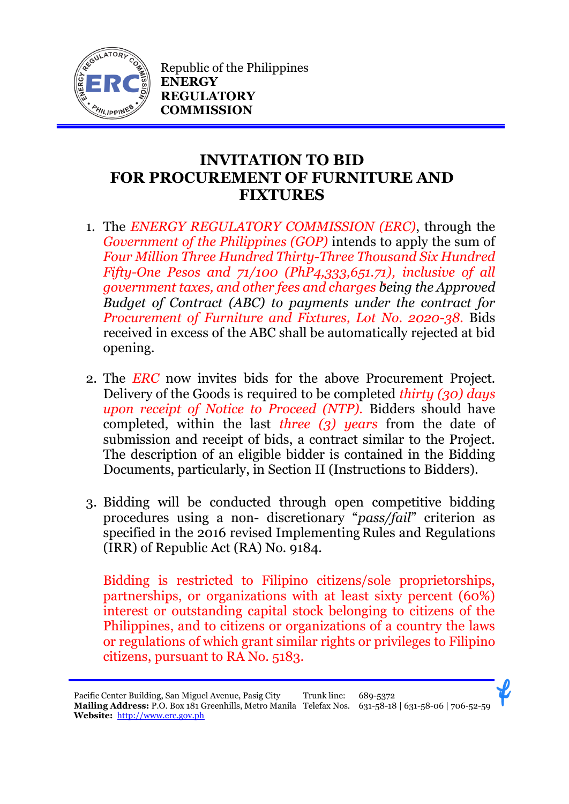

Republic of the Philippines **ENERGY REGULATORY COMMISSION**

## **INVITATION TO BID FOR PROCUREMENT OF FURNITURE AND FIXTURES**

- 1. The *ENERGY REGULATORY COMMISSION (ERC)*, through the *Government of the Philippines (GOP)* intends to apply the sum of *Four Million Three Hundred Thirty-Three Thousand Six Hundred Fifty-One Pesos and 71/100 (PhP4,333,651.71), inclusive of all government taxes, and other fees and charges being the Approved Budget of Contract (ABC) to payments under the contract for Procurement of Furniture and Fixtures, Lot No. 2020-38.* Bids received in excess of the ABC shall be automatically rejected at bid opening.
- 2. The *ERC* now invites bids for the above Procurement Project. Delivery of the Goods is required to be completed *thirty (30) days upon receipt of Notice to Proceed (NTP).* Bidders should have completed, within the last *three (3) years* from the date of submission and receipt of bids, a contract similar to the Project. The description of an eligible bidder is contained in the Bidding Documents, particularly, in Section II (Instructions to Bidders).
- 3. Bidding will be conducted through open competitive bidding procedures using a non- discretionary "*pass/fail*" criterion as specified in the 2016 revised Implementing Rules and Regulations (IRR) of Republic Act (RA) No. 9184.

Bidding is restricted to Filipino citizens/sole proprietorships, partnerships, or organizations with at least sixty percent (60%) interest or outstanding capital stock belonging to citizens of the Philippines, and to citizens or organizations of a country the laws or regulations of which grant similar rights or privileges to Filipino citizens, pursuant to RA No. 5183.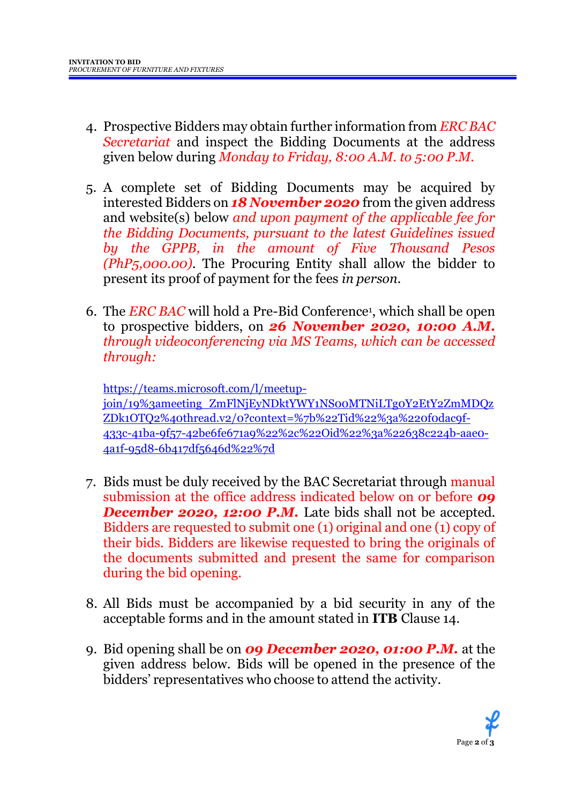- 4. Prospective Bidders may obtain further information from *ERC BAC Secretariat* and inspect the Bidding Documents at the address given below during *Monday to Friday, 8:00 A.M. to 5:00 P.M*.
- 5. A complete set of Bidding Documents may be acquired by interested Bidders on *18 November 2020* from the given address and website(s) below *and upon payment of the applicable fee for the Bidding Documents, pursuant to the latest Guidelines issued by the GPPB, in the amount of Five Thousand Pesos (PhP5,000.00)*. The Procuring Entity shall allow the bidder to present its proof of payment for the fees *in person.*
- 6. The *ERC BAC* will hold a Pre-Bid Conference<sup>1</sup> , which shall be open to prospective bidders, on *26 November 2020, 10:00 A.M. through videoconferencing via MS Teams, which can be accessed through:*

[https://teams.microsoft.com/l/meetup](https://teams.microsoft.com/l/meetup-join/19%3ameeting_ZmFlNjEyNDktYWY1NS00MTNiLTg0Y2EtY2ZmMDQzZDk1OTQ2%40thread.v2/0?context=%7b%22Tid%22%3a%220f0dac9f-433c-41ba-9f57-42be6fe671a9%22%2c%22Oid%22%3a%22638c224b-aae0-4a1f-95d8-6b417df5646d%22%7d)[join/19%3ameeting\\_ZmFlNjEyNDktYWY1NS00MTNiLTg0Y2EtY2ZmMDQz](https://teams.microsoft.com/l/meetup-join/19%3ameeting_ZmFlNjEyNDktYWY1NS00MTNiLTg0Y2EtY2ZmMDQzZDk1OTQ2%40thread.v2/0?context=%7b%22Tid%22%3a%220f0dac9f-433c-41ba-9f57-42be6fe671a9%22%2c%22Oid%22%3a%22638c224b-aae0-4a1f-95d8-6b417df5646d%22%7d) [ZDk1OTQ2%40thread.v2/0?context=%7b%22Tid%22%3a%220f0dac9f-](https://teams.microsoft.com/l/meetup-join/19%3ameeting_ZmFlNjEyNDktYWY1NS00MTNiLTg0Y2EtY2ZmMDQzZDk1OTQ2%40thread.v2/0?context=%7b%22Tid%22%3a%220f0dac9f-433c-41ba-9f57-42be6fe671a9%22%2c%22Oid%22%3a%22638c224b-aae0-4a1f-95d8-6b417df5646d%22%7d)[433c-41ba-9f57-42be6fe671a9%22%2c%22Oid%22%3a%22638c224b-aae0-](https://teams.microsoft.com/l/meetup-join/19%3ameeting_ZmFlNjEyNDktYWY1NS00MTNiLTg0Y2EtY2ZmMDQzZDk1OTQ2%40thread.v2/0?context=%7b%22Tid%22%3a%220f0dac9f-433c-41ba-9f57-42be6fe671a9%22%2c%22Oid%22%3a%22638c224b-aae0-4a1f-95d8-6b417df5646d%22%7d) [4a1f-95d8-6b417df5646d%22%7d](https://teams.microsoft.com/l/meetup-join/19%3ameeting_ZmFlNjEyNDktYWY1NS00MTNiLTg0Y2EtY2ZmMDQzZDk1OTQ2%40thread.v2/0?context=%7b%22Tid%22%3a%220f0dac9f-433c-41ba-9f57-42be6fe671a9%22%2c%22Oid%22%3a%22638c224b-aae0-4a1f-95d8-6b417df5646d%22%7d)

- 7. Bids must be duly received by the BAC Secretariat through manual submission at the office address indicated below on or before *09* **December 2020, 12:00 P.M.** Late bids shall not be accepted. Bidders are requested to submit one (1) original and one (1) copy of their bids. Bidders are likewise requested to bring the originals of the documents submitted and present the same for comparison during the bid opening.
- 8. All Bids must be accompanied by a bid security in any of the acceptable forms and in the amount stated in **ITB** Clause 14.
- 9. Bid opening shall be on *09 December 2020, 01:00 P.M.* at the given address below. Bids will be opened in the presence of the bidders' representatives who choose to attend the activity.